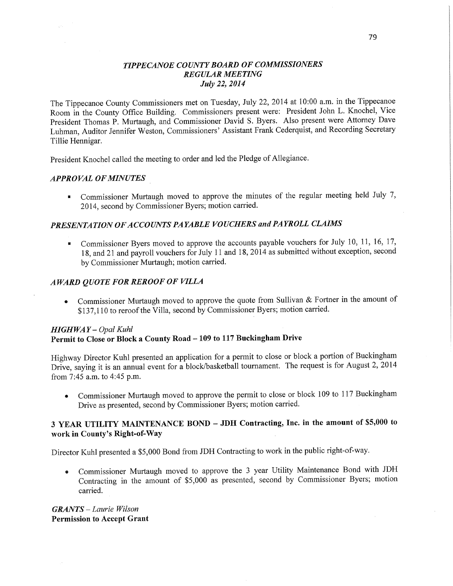## *TIPPECANOE* C0 *UNTYBOARD* OF *COMMISSIONERS REGULAR MEETING July* 22, *2014*

The Tippecanoe County Commissioners met on Tuesday, July 22, 2014 at 10:00 **am.** in the Tippecanoe Room in the County Office Building. Commissioners present were: President John L. Knochel, **Vice**  President Thomas P. Murtaugh, and Commissioner David S. Byers. **Also** present were Attorney Dave Luhman, Auditor Jennifer Weston, Commissioners' Assistant Frank Cederquist, and Recording Secretary Tillie Hennigar.

President Knochel called the meeting to order and led the Pledge of Allegiance.

#### *APPROVAL* OF *MINUTES \_*

. Commissioner Murtaugh moved to approve the minutes of the regular meeting **held** July 7, 2014, second by Commissioner Byers; motion carried.

## **PRESENTATION OF ACCOUNTS PAYABLE VOUCHERS and PAYROLL CLAIMS**

.- Commissioner Byers moved to approve the accounts payable vouchers for July 10, 11, 16, 17, 18, and 21 and payroll vouchers for July 11 and 18, 2014 as submitted without exception, second by Commissioner Murtaugh; motion **carried.** 

## *AWARD QUOTE* FOR *REROOF* 0F *VIILA*

**<sup>0</sup>**Commissioner Murtaugh moved to approve the quote from Sullivan & Fortner in the amount of \$137,110 to reroof the Villa, second by Commissioner Byers; motion carried.

#### *HIGHWAY— Opal Kuhl*  **Permit** to **Close** or **Block a County Road-** 109 to 117 **Buckingham Drive**

Highway Director Kuhl presented an application for a permit to close or block a portion of Buckingham Drive, saying it is an annual event for a block/basketball tournament. The request is for August 2, <sup>2014</sup> from **7:45 am.** to 4:45 pm.

**•** Commissioner Murtaugh moved to approve the permit to close or block 109 to 117 Buckingham Drive as presented, second by Commissioner Byers; motion carried.

## <sup>3</sup>**YEAR UTILITY MAINTENANCE BOND** — JDH **Contracting, Inc.** in the **amount** of **\$5,000** to **work** in **County's Right-of-Way**

Director Kuhl presented **a** \$5,000 Bond from JDH Contracting to work in the public right-of-way.

**<sup>0</sup>**Commissioner Murtaugh moved to approve the 3 year Utility Maintenance Bond with JDH Contracting in the amount of \$5,000 as presented, second by Commissioner Byers; motion carried.

*GRANTS* — *Laurie Wilson*  **Permission** to **Accept Grant**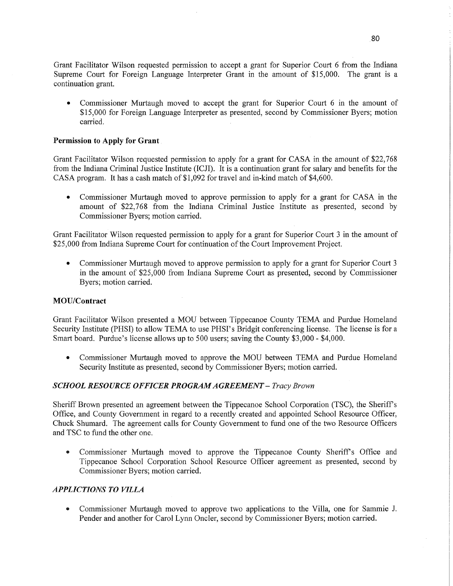Grant Facilitator Wilson requested permission to accept a grant for Superior Court 6 from the Indiana Supreme Court for Foreign Language Interpreter Grant in the amount of \$15,000. The grant is <sup>a</sup> continuation grant.

**0** Commissioner Murtaugh moved to accept the grant for Superior Court *6* in the amount of \$15,000 for Foreign Language Interpreter as presented, second by Commissioner Byers; motion carried.

#### **Permission** to **Apply** for **Grant**

Grant Facilitator Wilson requested permission to apply for <sup>a</sup>grant for CASA in the amount of \$22,768 from the Indiana Criminal Justice Institute (ICJI). It is a continuation grant for salary and benefits for the CASA program. It has a cash match of \$1,092 for travel and **in-kind** match of \$4,600.

**0** Commissioner Murtaugh moved to approve permission to apply for <sup>a</sup>grant for CASA in the amount of \$22,768 from the Indiana Criminal Justice Institute as presented, second by Commissioner Byers; motion carried.

Grant Facilitator Wilson requested permission to apply for <sup>a</sup>grant for Superior Court 3 in the amount of \$25,000 from Indiana Supreme Court for continuation of the Court Improvement Project.

**0** Commissioner Murtaugh moved to approve permission to apply for <sup>a</sup>grant for Superior Court 3 in the amount of \$25,000 from Indiana Supreme Court as presented, second by Commissioner Byers; motion carried.

#### **MOU/Contract**

Grant Facilitator Wilson presented a MOU between Tippecanoe County TEMA and Purdue Homeland Security Institute **(PHSI)** to allow TEMA to use PHSI's Bridgit conferencing license. The license is for <sup>a</sup> Smart board. Purdue's license allows up to 500 users; saving the County \$3,000 *-* \$4,000.

**0** Commissioner Murtaugh moved to approve the MOU between TEMA and Purdue Homeland Security Institute as presented, second by Commissioner Byers; motion carried.

#### *SCHOOL RESOURCE OFFICER PROGRAM AGREEMENT — Tracy Brown*

Sheriff Brown presented an agreement between the Tippecanoe School Corporation (TSC), the Sheriff's Office, and County Government in regard to **a** recently created and appointed School Resource Officer, Chuck Shumard. The agreement calls for County Government to fund one of the two Resource Officers and TSC to fund the other one.

• Commissioner Murtaugh moved to approve the Tippecanoe County Sheriff's Office and Tippecanoe School Corporation School Resource Officer agreement as presented, second by Commissioner Byers; motion carried.

## *APPLICTIONS TO VILLA*

**0** Commissioner Murtaugh moved to approve two applications to the Villa, one for Sammie J. Pender and another for Carol Lynn Oncler, second by Commissioner Byers; motion carried.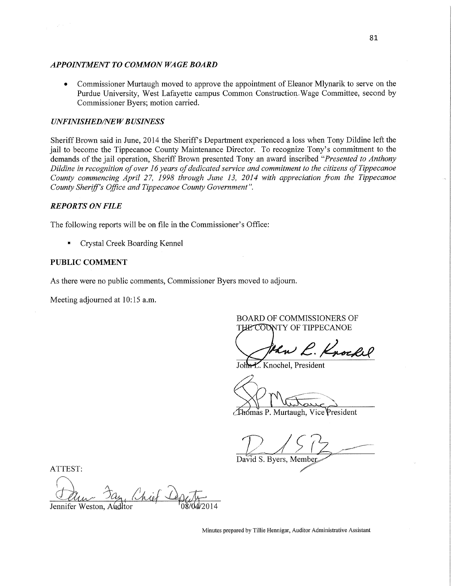#### **APPOINTMENT TO COMMON WAGE BOARD**

**0** Commissioner Murtaugh moved to approve the appointment of Eleanor Mlynarik to serve on the Purdue University, West Lafayette campus Common Construction..Wage Committee, second by Commissioner Byers; motion carried.

#### **UNFINISHED/NEW BUSINESS**

Sheriff Brown said in June, 2014 the Sheriff's Department experienced a loss when Tony Dildine left the jail to become the Tippecanoe County Maintenance Director. To recognize Tony's commitment to the demands of the jail operation, Sheriff Brown presented Tony an award inscribed *"Presented* to *Anthony Dildine* in *recognition* of *over* 16 *years* of *dedicated service* and *commitment* to the *citizens* of *Tippecanoe County commencing April 27, 1998 through June 13, 2014 with appreciation from the Tippecanoe County Sherifl's Oflice* and *Tippecanoe County Government".* 

#### *REPORTS* ON *FILE*

The following reports will be on file in the Commissioner's Office:

**I** Crystal Creek Boarding Kennel

#### **PUBLIC COMMENT**

As there were no public comments, Commissioner Byers moved to adjourn.

Meeting adjourned at 10:15 am.

BOARD OF COMMISSIONERS OF THE COUNTY OF TIPPECANOE

Uhw L. Knockel

L. Knochel, President

 $\hookrightarrow$ 

Thomás P. Murtaugh, Vice President

David S. Byers, Member

ATTEST:

Chief Depe Jennifer Weston, Audltor

Minutes prepared by Tillie Hennigar, Auditor Administrative Assistant